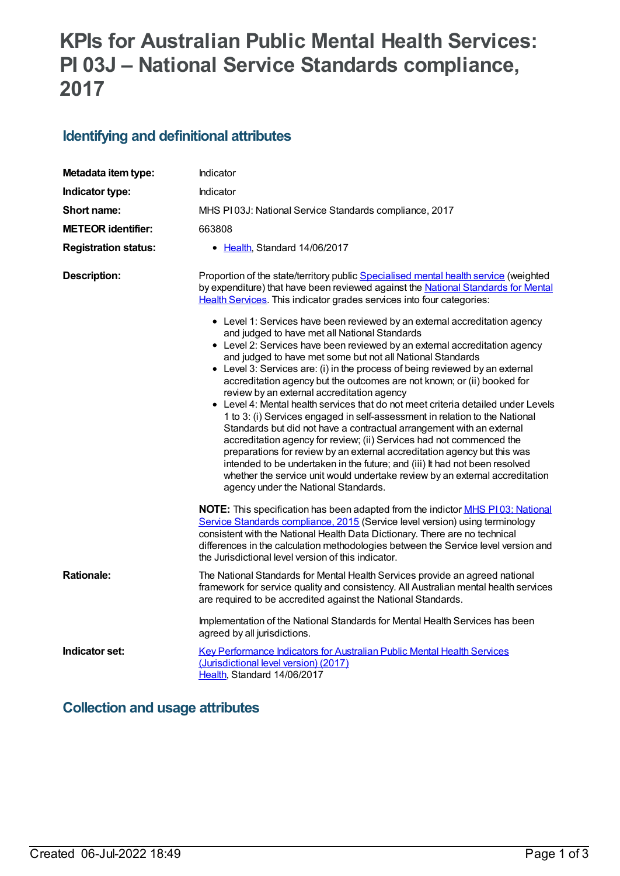# **KPIs for Australian Public Mental Health Services: PI 03J – National Service Standards compliance, 2017**

### **Identifying and definitional attributes**

| Metadata item type:         | Indicator                                                                                                                                                                                                                                                                                                                                                                                                                                                                                                                                                                                                                                                                                                                                                                                                                                                                                                                                                                                                                                                                                                                                                                                                                                                                                                                                      |  |
|-----------------------------|------------------------------------------------------------------------------------------------------------------------------------------------------------------------------------------------------------------------------------------------------------------------------------------------------------------------------------------------------------------------------------------------------------------------------------------------------------------------------------------------------------------------------------------------------------------------------------------------------------------------------------------------------------------------------------------------------------------------------------------------------------------------------------------------------------------------------------------------------------------------------------------------------------------------------------------------------------------------------------------------------------------------------------------------------------------------------------------------------------------------------------------------------------------------------------------------------------------------------------------------------------------------------------------------------------------------------------------------|--|
| Indicator type:             | <b>Indicator</b>                                                                                                                                                                                                                                                                                                                                                                                                                                                                                                                                                                                                                                                                                                                                                                                                                                                                                                                                                                                                                                                                                                                                                                                                                                                                                                                               |  |
| Short name:                 | MHS PI03J: National Service Standards compliance, 2017                                                                                                                                                                                                                                                                                                                                                                                                                                                                                                                                                                                                                                                                                                                                                                                                                                                                                                                                                                                                                                                                                                                                                                                                                                                                                         |  |
| <b>METEOR identifier:</b>   | 663808                                                                                                                                                                                                                                                                                                                                                                                                                                                                                                                                                                                                                                                                                                                                                                                                                                                                                                                                                                                                                                                                                                                                                                                                                                                                                                                                         |  |
| <b>Registration status:</b> | • Health, Standard 14/06/2017                                                                                                                                                                                                                                                                                                                                                                                                                                                                                                                                                                                                                                                                                                                                                                                                                                                                                                                                                                                                                                                                                                                                                                                                                                                                                                                  |  |
| <b>Description:</b>         | Proportion of the state/territory public Specialised mental health service (weighted<br>by expenditure) that have been reviewed against the National Standards for Mental<br>Health Services. This indicator grades services into four categories:<br>• Level 1: Services have been reviewed by an external accreditation agency<br>and judged to have met all National Standards<br>• Level 2: Services have been reviewed by an external accreditation agency<br>and judged to have met some but not all National Standards<br>• Level 3: Services are: (i) in the process of being reviewed by an external<br>accreditation agency but the outcomes are not known; or (ii) booked for<br>review by an external accreditation agency<br>• Level 4: Mental health services that do not meet criteria detailed under Levels<br>1 to 3: (i) Services engaged in self-assessment in relation to the National<br>Standards but did not have a contractual arrangement with an external<br>accreditation agency for review; (ii) Services had not commenced the<br>preparations for review by an external accreditation agency but this was<br>intended to be undertaken in the future; and (iii) It had not been resolved<br>whether the service unit would undertake review by an external accreditation<br>agency under the National Standards. |  |
| <b>Rationale:</b>           | NOTE: This specification has been adapted from the indictor MHS P103: National<br>Service Standards compliance, 2015 (Service level version) using terminology<br>consistent with the National Health Data Dictionary. There are no technical<br>differences in the calculation methodologies between the Service level version and<br>the Jurisdictional level version of this indicator.<br>The National Standards for Mental Health Services provide an agreed national<br>framework for service quality and consistency. All Australian mental health services                                                                                                                                                                                                                                                                                                                                                                                                                                                                                                                                                                                                                                                                                                                                                                             |  |
|                             | are required to be accredited against the National Standards.<br>Implementation of the National Standards for Mental Health Services has been<br>agreed by all jurisdictions.                                                                                                                                                                                                                                                                                                                                                                                                                                                                                                                                                                                                                                                                                                                                                                                                                                                                                                                                                                                                                                                                                                                                                                  |  |
| Indicator set:              | Key Performance Indicators for Australian Public Mental Health Services<br>(Jurisdictional level version) (2017)<br>Health, Standard 14/06/2017                                                                                                                                                                                                                                                                                                                                                                                                                                                                                                                                                                                                                                                                                                                                                                                                                                                                                                                                                                                                                                                                                                                                                                                                |  |

## **Collection and usage attributes**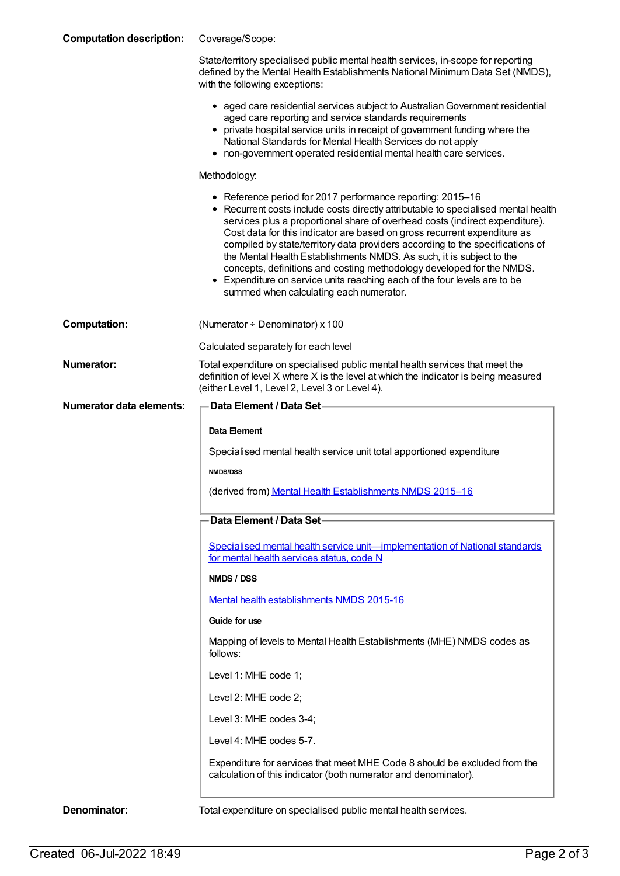| <b>Computation description:</b> | Coverage/Scope:                                                                                                                                                                                                                                                                                                                                                                                                                                                                                                                                                                                                                                                        |
|---------------------------------|------------------------------------------------------------------------------------------------------------------------------------------------------------------------------------------------------------------------------------------------------------------------------------------------------------------------------------------------------------------------------------------------------------------------------------------------------------------------------------------------------------------------------------------------------------------------------------------------------------------------------------------------------------------------|
|                                 | State/territory specialised public mental health services, in-scope for reporting<br>defined by the Mental Health Establishments National Minimum Data Set (NMDS),<br>with the following exceptions:                                                                                                                                                                                                                                                                                                                                                                                                                                                                   |
|                                 | • aged care residential services subject to Australian Government residential<br>aged care reporting and service standards requirements<br>• private hospital service units in receipt of government funding where the<br>National Standards for Mental Health Services do not apply<br>• non-government operated residential mental health care services.                                                                                                                                                                                                                                                                                                             |
|                                 | Methodology:                                                                                                                                                                                                                                                                                                                                                                                                                                                                                                                                                                                                                                                           |
|                                 | • Reference period for 2017 performance reporting: 2015-16<br>• Recurrent costs include costs directly attributable to specialised mental health<br>services plus a proportional share of overhead costs (indirect expenditure).<br>Cost data for this indicator are based on gross recurrent expenditure as<br>compiled by state/territory data providers according to the specifications of<br>the Mental Health Establishments NMDS. As such, it is subject to the<br>concepts, definitions and costing methodology developed for the NMDS.<br>• Expenditure on service units reaching each of the four levels are to be<br>summed when calculating each numerator. |
| <b>Computation:</b>             | (Numerator + Denominator) x 100                                                                                                                                                                                                                                                                                                                                                                                                                                                                                                                                                                                                                                        |
|                                 | Calculated separately for each level                                                                                                                                                                                                                                                                                                                                                                                                                                                                                                                                                                                                                                   |
| <b>Numerator:</b>               | Total expenditure on specialised public mental health services that meet the<br>definition of level X where X is the level at which the indicator is being measured<br>(either Level 1, Level 2, Level 3 or Level 4).                                                                                                                                                                                                                                                                                                                                                                                                                                                  |
| <b>Numerator data elements:</b> | <b>Data Element / Data Set-</b>                                                                                                                                                                                                                                                                                                                                                                                                                                                                                                                                                                                                                                        |
|                                 | Data Element                                                                                                                                                                                                                                                                                                                                                                                                                                                                                                                                                                                                                                                           |
|                                 | Specialised mental health service unit total apportioned expenditure                                                                                                                                                                                                                                                                                                                                                                                                                                                                                                                                                                                                   |
|                                 | <b>NMDS/DSS</b>                                                                                                                                                                                                                                                                                                                                                                                                                                                                                                                                                                                                                                                        |
|                                 | (derived from) Mental Health Establishments NMDS 2015-16                                                                                                                                                                                                                                                                                                                                                                                                                                                                                                                                                                                                               |
|                                 | Data Element / Data Set                                                                                                                                                                                                                                                                                                                                                                                                                                                                                                                                                                                                                                                |
|                                 | <u>Specialised mental health service unit—implementation of National standards</u><br>for mental health services status, code N                                                                                                                                                                                                                                                                                                                                                                                                                                                                                                                                        |
|                                 | NMDS / DSS                                                                                                                                                                                                                                                                                                                                                                                                                                                                                                                                                                                                                                                             |
|                                 | Mental health establishments NMDS 2015-16                                                                                                                                                                                                                                                                                                                                                                                                                                                                                                                                                                                                                              |
|                                 | Guide for use                                                                                                                                                                                                                                                                                                                                                                                                                                                                                                                                                                                                                                                          |
|                                 | Mapping of levels to Mental Health Establishments (MHE) NMDS codes as<br>follows:                                                                                                                                                                                                                                                                                                                                                                                                                                                                                                                                                                                      |
|                                 | Level 1: MHE code 1;                                                                                                                                                                                                                                                                                                                                                                                                                                                                                                                                                                                                                                                   |
|                                 | Level 2: MHE code 2;                                                                                                                                                                                                                                                                                                                                                                                                                                                                                                                                                                                                                                                   |
|                                 |                                                                                                                                                                                                                                                                                                                                                                                                                                                                                                                                                                                                                                                                        |
|                                 | Level 3: MHE codes 3-4;                                                                                                                                                                                                                                                                                                                                                                                                                                                                                                                                                                                                                                                |
|                                 | Level 4: MHE codes 5-7.                                                                                                                                                                                                                                                                                                                                                                                                                                                                                                                                                                                                                                                |
|                                 | Expenditure for services that meet MHE Code 8 should be excluded from the<br>calculation of this indicator (both numerator and denominator).                                                                                                                                                                                                                                                                                                                                                                                                                                                                                                                           |